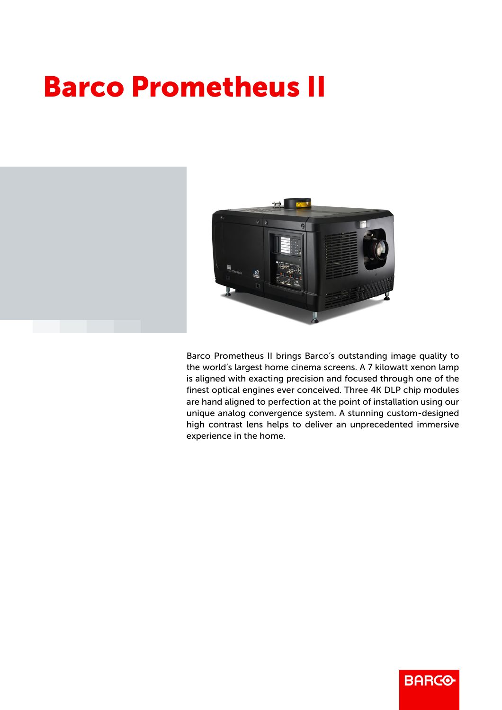## Barco Prometheus II



Barco Prometheus II brings Barco's outstanding image quality to the world's largest home cinema screens. A 7 kilowatt xenon lamp is aligned with exacting precision and focused through one of the finest optical engines ever conceived. Three 4K DLP chip modules are hand aligned to perfection at the point of installation using our unique analog convergence system. A stunning custom-designed high contrast lens helps to deliver an unprecedented immersive experience in the home.